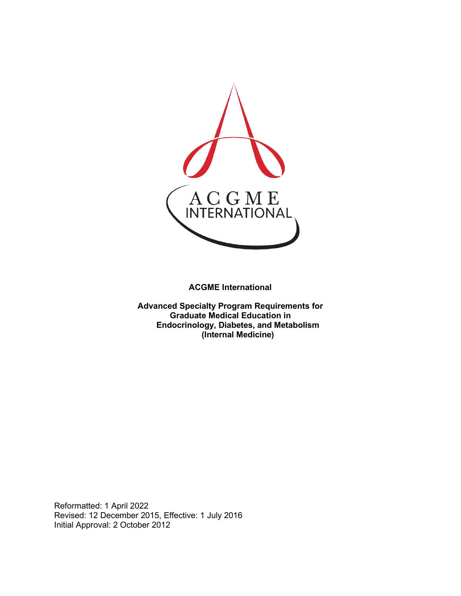

**ACGME International** 

**Advanced Specialty Program Requirements for Graduate Medical Education in Endocrinology, Diabetes, and Metabolism (Internal Medicine)**

Reformatted: 1 April 2022 Revised: 12 December 2015, Effective: 1 July 2016 Initial Approval: 2 October 2012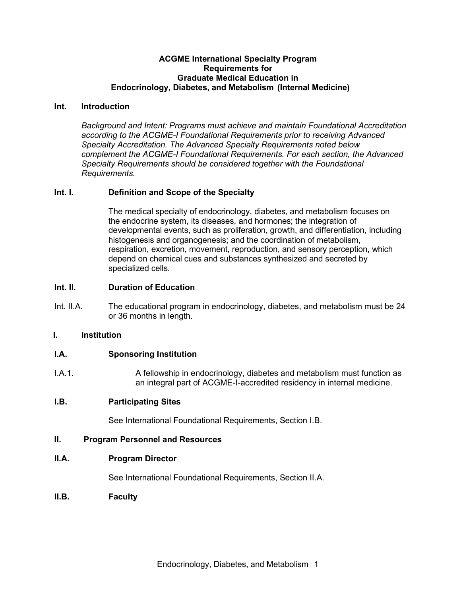#### **ACGME International Specialty Program Requirements for Graduate Medical Education in Endocrinology, Diabetes, and Metabolism (Internal Medicine)**

#### **Int. Introduction**

*Background and Intent: Programs must achieve and maintain Foundational Accreditation according to the ACGME-I Foundational Requirements prior to receiving Advanced Specialty Accreditation. The Advanced Specialty Requirements noted below complement the ACGME-I Foundational Requirements. For each section, the Advanced Specialty Requirements should be considered together with the Foundational Requirements.*

### **Int. I. Definition and Scope of the Specialty**

The medical specialty of endocrinology, diabetes, and metabolism focuses on the endocrine system, its diseases, and hormones; the integration of developmental events, such as proliferation, growth, and differentiation, including histogenesis and organogenesis; and the coordination of metabolism, respiration, excretion, movement, reproduction, and sensory perception, which depend on chemical cues and substances synthesized and secreted by specialized cells.

### **Int. II. Duration of Education**

Int. II.A. The educational program in endocrinology, diabetes, and metabolism must be 24 or 36 months in length.

#### **I. Institution**

## **I.A. Sponsoring Institution**

I.A.1. A fellowship in endocrinology, diabetes and metabolism must function as an integral part of ACGME-I-accredited residency in internal medicine.

## **I.B. Participating Sites**

See International Foundational Requirements, Section I.B.

#### **II. Program Personnel and Resources**

#### **II.A. Program Director**

See International Foundational Requirements, Section II.A.

**II.B. Faculty**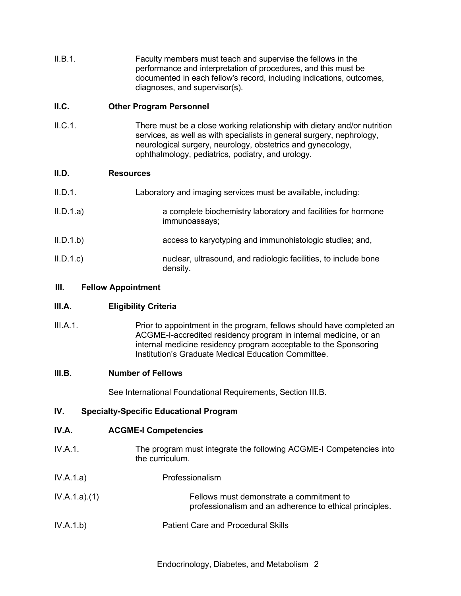II.B.1. Faculty members must teach and supervise the fellows in the performance and interpretation of procedures, and this must be documented in each fellow's record, including indications, outcomes, diagnoses, and supervisor(s).

## **II.C. Other Program Personnel**

II.C.1. There must be a close working relationship with dietary and/or nutrition services, as well as with specialists in general surgery, nephrology, neurological surgery, neurology, obstetrics and gynecology, ophthalmology, pediatrics, podiatry, and urology.

# **II.D. Resources**

| II.D.1.   | Laboratory and imaging services must be available, including:                  |
|-----------|--------------------------------------------------------------------------------|
| II.D.1.a) | a complete biochemistry laboratory and facilities for hormone<br>immunoassays; |
| II.D.1.b) | access to karyotyping and immunohistologic studies; and,                       |
| II.D.1.c  | nuclear, ultrasound, and radiologic facilities, to include bone<br>density.    |

# **III. Fellow Appointment**

# **III.A. Eligibility Criteria**

III.A.1. Prior to appointment in the program, fellows should have completed an ACGME-I-accredited residency program in internal medicine, or an internal medicine residency program acceptable to the Sponsoring Institution's Graduate Medical Education Committee.

## **III.B. Number of Fellows**

See International Foundational Requirements, Section III.B.

# **IV. Specialty-Specific Educational Program**

# **IV.A. ACGME-I Competencies**

- IV.A.1. The program must integrate the following ACGME-I Competencies into the curriculum.
- IV.A.1.a) Professionalism
- IV.A.1.a).(1) Fellows must demonstrate a commitment to professionalism and an adherence to ethical principles.
- IV.A.1.b) Patient Care and Procedural Skills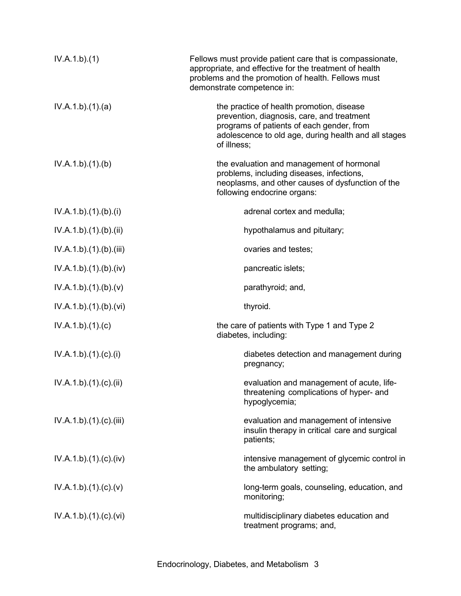| IV.A.1.b)(1)         | Fellows must provide patient care that is compassionate,<br>appropriate, and effective for the treatment of health<br>problems and the promotion of health. Fellows must<br>demonstrate competence in:      |
|----------------------|-------------------------------------------------------------------------------------------------------------------------------------------------------------------------------------------------------------|
| IV.A.1.b)(1)(a)      | the practice of health promotion, disease<br>prevention, diagnosis, care, and treatment<br>programs of patients of each gender, from<br>adolescence to old age, during health and all stages<br>of illness; |
| IV.A.1.b)(1)(b)      | the evaluation and management of hormonal<br>problems, including diseases, infections,<br>neoplasms, and other causes of dysfunction of the<br>following endocrine organs:                                  |
| IV.A.1.b)(1)(b)(i)   | adrenal cortex and medulla;                                                                                                                                                                                 |
| IV.A.1.b)(1)(b)(ii)  | hypothalamus and pituitary;                                                                                                                                                                                 |
| IV.A.1.b)(1)(b)(iii) | ovaries and testes;                                                                                                                                                                                         |
| IV.A.1.b)(1)(b)(iv)  | pancreatic islets;                                                                                                                                                                                          |
| IV.A.1.b)(1)(b)(v)   | parathyroid; and,                                                                                                                                                                                           |
| IV.A.1.b)(1)(b)(vi)  | thyroid.                                                                                                                                                                                                    |
| IV.A.1.b)(1)(c)      | the care of patients with Type 1 and Type 2<br>diabetes, including:                                                                                                                                         |
| IV.A.1.b)(1)(c)(i)   | diabetes detection and management during<br>pregnancy;                                                                                                                                                      |
| IV.A.1.b)(1)(c)(ii)  | evaluation and management of acute, life-<br>threatening complications of hyper- and<br>hypoglycemia;                                                                                                       |
| IV.A.1.b)(1)(c)(iii) | evaluation and management of intensive<br>insulin therapy in critical care and surgical<br>patients;                                                                                                        |
| IV.A.1.b)(1)(c)(iv)  | intensive management of glycemic control in<br>the ambulatory setting;                                                                                                                                      |
| IV.A.1.b)(1)(c)(v)   | long-term goals, counseling, education, and<br>monitoring;                                                                                                                                                  |
| IV.A.1.b)(1)(c)(vi)  | multidisciplinary diabetes education and<br>treatment programs; and,                                                                                                                                        |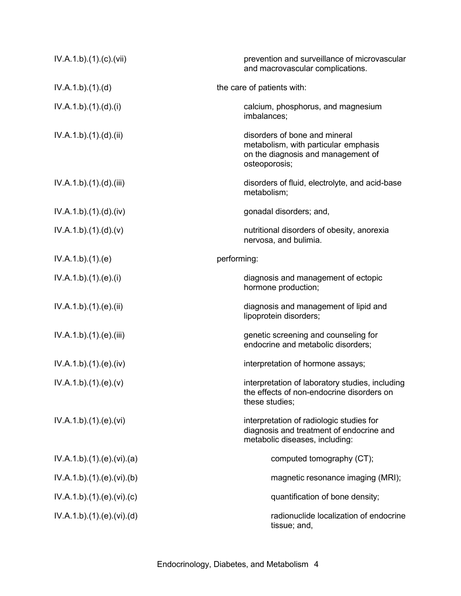| IV.A.1.b)(1)(c)(vii)    | prevention and surveillance of microvascular<br>and macrovascular complications.                                             |
|-------------------------|------------------------------------------------------------------------------------------------------------------------------|
| IV.A.1.b)(1)(d)         | the care of patients with:                                                                                                   |
| IV.A.1.b)(1).(d).(i)    | calcium, phosphorus, and magnesium<br>imbalances;                                                                            |
| IV.A.1.b).(1).(d).(ii)  | disorders of bone and mineral<br>metabolism, with particular emphasis<br>on the diagnosis and management of<br>osteoporosis; |
| IV.A.1.b) (1) (d) (iii) | disorders of fluid, electrolyte, and acid-base<br>metabolism;                                                                |
| IV.A.1.b).(1).(d).(iv)  | gonadal disorders; and,                                                                                                      |
| IV.A.1.b)(1)(d)(v)      | nutritional disorders of obesity, anorexia<br>nervosa, and bulimia.                                                          |
| IV.A.1.b)(1)(e)         | performing:                                                                                                                  |
| IV.A.1.b)(1)(e)(i)      | diagnosis and management of ectopic<br>hormone production;                                                                   |
| IV.A.1.b)(1)(e)(ii)     | diagnosis and management of lipid and<br>lipoprotein disorders;                                                              |
| IV.A.1.b) (1) (e) (iii) | genetic screening and counseling for<br>endocrine and metabolic disorders;                                                   |
| IV.A.1.b) (1) (e) (iv)  | interpretation of hormone assays;                                                                                            |
| IV.A.1.b)(1)(e)(v)      | interpretation of laboratory studies, including<br>the effects of non-endocrine disorders on<br>these studies;               |
| IV.A.1.b)(1)(e)(vi)     | interpretation of radiologic studies for<br>diagnosis and treatment of endocrine and<br>metabolic diseases, including:       |
| IV.A.1.b)(1)(e)(vi)(a)  | computed tomography (CT);                                                                                                    |
| IV.A.1.b)(1)(e)(vi)(b)  | magnetic resonance imaging (MRI);                                                                                            |
| IV.A.1.b)(1)(e)(vi)(c)  | quantification of bone density;                                                                                              |
| IV.A.1.b)(1)(e)(vi)(d)  | radionuclide localization of endocrine<br>tissue; and,                                                                       |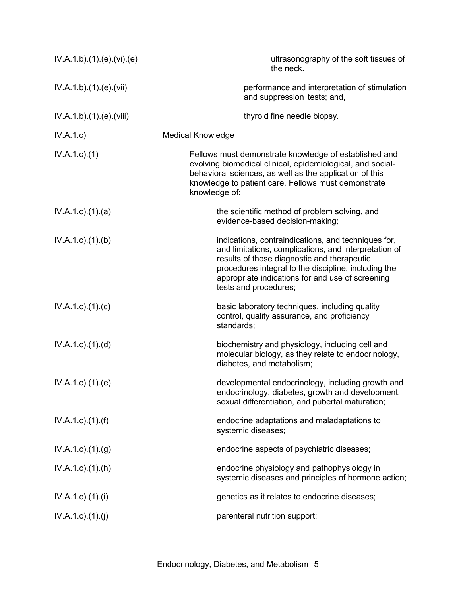| IV.A.1.b).(1).(e).(vi).(e)  | ultrasonography of the soft tissues of<br>the neck.                                                                                                                                                                                                                                              |
|-----------------------------|--------------------------------------------------------------------------------------------------------------------------------------------------------------------------------------------------------------------------------------------------------------------------------------------------|
| IV.A.1.b)(1)(e)(vii)        | performance and interpretation of stimulation<br>and suppression tests; and,                                                                                                                                                                                                                     |
| IV.A.1.b)(1)(e)(viii)       | thyroid fine needle biopsy.                                                                                                                                                                                                                                                                      |
| IV.A.1.c                    | <b>Medical Knowledge</b>                                                                                                                                                                                                                                                                         |
| $IV.A.1.c.$ (1)             | Fellows must demonstrate knowledge of established and<br>evolving biomedical clinical, epidemiological, and social-<br>behavioral sciences, as well as the application of this<br>knowledge to patient care. Fellows must demonstrate<br>knowledge of:                                           |
| $IV.A.1.c.$ $(1).$ $(a)$    | the scientific method of problem solving, and<br>evidence-based decision-making;                                                                                                                                                                                                                 |
| IV.A.1.c)(1)(b)             | indications, contraindications, and techniques for,<br>and limitations, complications, and interpretation of<br>results of those diagnostic and therapeutic<br>procedures integral to the discipline, including the<br>appropriate indications for and use of screening<br>tests and procedures; |
| $IV.A.1.c$ ). $(1).$ (c)    | basic laboratory techniques, including quality<br>control, quality assurance, and proficiency<br>standards;                                                                                                                                                                                      |
| IV.A.1.c).(1).(d)           | biochemistry and physiology, including cell and<br>molecular biology, as they relate to endocrinology,<br>diabetes, and metabolism;                                                                                                                                                              |
| $IV.A.1.c$ . $(1).$ (e)     | developmental endocrinology, including growth and<br>endocrinology, diabetes, growth and development,<br>sexual differentiation, and pubertal maturation;                                                                                                                                        |
| $IV.A.1.c$ ). $(1)$ . $(f)$ | endocrine adaptations and maladaptations to<br>systemic diseases;                                                                                                                                                                                                                                |
| IV.A.1.c)(1)(g)             | endocrine aspects of psychiatric diseases;                                                                                                                                                                                                                                                       |
| $IV.A.1.c$ . $(1).(h)$      | endocrine physiology and pathophysiology in<br>systemic diseases and principles of hormone action;                                                                                                                                                                                               |
| $IV.A.1.c$ ). $(1).$        | genetics as it relates to endocrine diseases;                                                                                                                                                                                                                                                    |
| IV.A.1.c)(1)(j)             | parenteral nutrition support;                                                                                                                                                                                                                                                                    |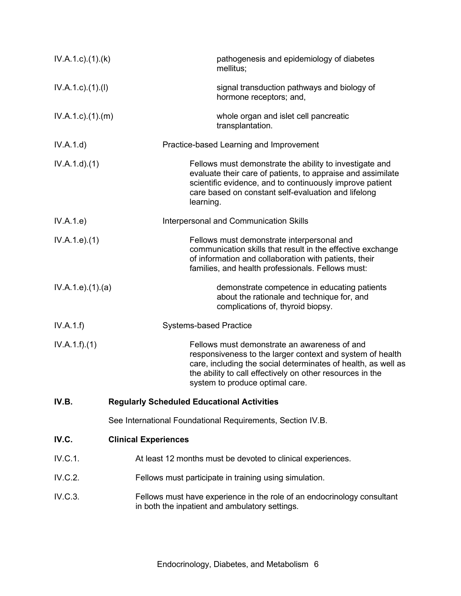| $IV.A.1.c$ . $(1).$ $(k)$ | pathogenesis and epidemiology of diabetes<br>mellitus;                                                                                                                                                                                                                     |
|---------------------------|----------------------------------------------------------------------------------------------------------------------------------------------------------------------------------------------------------------------------------------------------------------------------|
| $IV.A.1.c$ ). $(1).$      | signal transduction pathways and biology of<br>hormone receptors; and,                                                                                                                                                                                                     |
| $IV.A.1.c$ . $(1).$ $(m)$ | whole organ and islet cell pancreatic<br>transplantation.                                                                                                                                                                                                                  |
| IV.A.1.d)                 | Practice-based Learning and Improvement                                                                                                                                                                                                                                    |
| IV.A.1.d)(1)              | Fellows must demonstrate the ability to investigate and<br>evaluate their care of patients, to appraise and assimilate<br>scientific evidence, and to continuously improve patient<br>care based on constant self-evaluation and lifelong<br>learning.                     |
| IV.A.1.e)                 | Interpersonal and Communication Skills                                                                                                                                                                                                                                     |
| IV.A.1.e. (1)             | Fellows must demonstrate interpersonal and<br>communication skills that result in the effective exchange<br>of information and collaboration with patients, their<br>families, and health professionals. Fellows must:                                                     |
| IV.A.1.e. (1). (a)        | demonstrate competence in educating patients<br>about the rationale and technique for, and<br>complications of, thyroid biopsy.                                                                                                                                            |
| IV.A.1.f)                 | <b>Systems-based Practice</b>                                                                                                                                                                                                                                              |
| IV.A.1.f)(1)              | Fellows must demonstrate an awareness of and<br>responsiveness to the larger context and system of health<br>care, including the social determinates of health, as well as<br>the ability to call effectively on other resources in the<br>system to produce optimal care. |
| IV.B.                     | <b>Regularly Scheduled Educational Activities</b>                                                                                                                                                                                                                          |
|                           | See International Foundational Requirements, Section IV.B.                                                                                                                                                                                                                 |
| IV.C.                     | <b>Clinical Experiences</b>                                                                                                                                                                                                                                                |
| IV.C.1.                   | At least 12 months must be devoted to clinical experiences.                                                                                                                                                                                                                |
| IV.C.2.                   | Fellows must participate in training using simulation.                                                                                                                                                                                                                     |
| IV.C.3.                   | Fellows must have experience in the role of an endocrinology consultant<br>in both the inpatient and ambulatory settings.                                                                                                                                                  |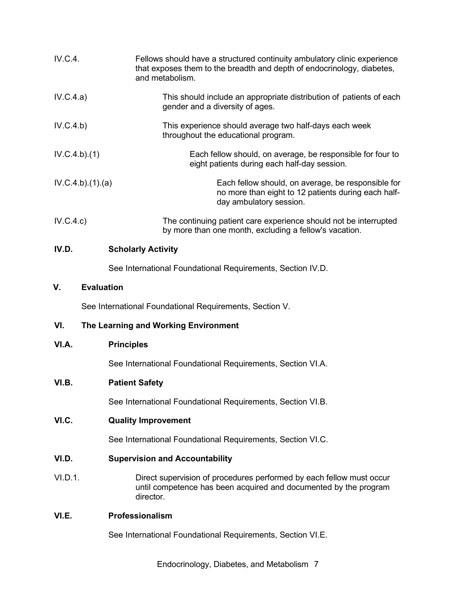| IV.C.4.                 | Fellows should have a structured continuity ambulatory clinic experience<br>that exposes them to the breadth and depth of endocrinology, diabetes,<br>and metabolism. |
|-------------------------|-----------------------------------------------------------------------------------------------------------------------------------------------------------------------|
| IV.C.4.a)               | This should include an appropriate distribution of patients of each<br>gender and a diversity of ages.                                                                |
| IV.C.4.b)               | This experience should average two half-days each week<br>throughout the educational program.                                                                         |
| IV.C.4.b)(1)            | Each fellow should, on average, be responsible for four to<br>eight patients during each half-day session.                                                            |
| IV.C.4.b)(1)(a)         | Each fellow should, on average, be responsible for<br>no more than eight to 12 patients during each half-<br>day ambulatory session.                                  |
| IV.C.4.c)               | The continuing patient care experience should not be interrupted<br>by more than one month, excluding a fellow's vacation.                                            |
| IV.D.                   | <b>Scholarly Activity</b>                                                                                                                                             |
|                         | See International Foundational Requirements, Section IV.D.                                                                                                            |
| V.<br><b>Evaluation</b> |                                                                                                                                                                       |
|                         | See International Foundational Requirements, Section V.                                                                                                               |
| VI.                     | The Learning and Working Environment                                                                                                                                  |
| VI.A.                   | <b>Principles</b>                                                                                                                                                     |
|                         | See International Foundational Requirements, Section VI.A.                                                                                                            |
| VI.B.                   | <b>Patient Safety</b>                                                                                                                                                 |
|                         | See International Foundational Requirements, Section VI.B.                                                                                                            |
| VI.C.                   | <b>Quality Improvement</b>                                                                                                                                            |
|                         | See International Foundational Requirements, Section VI.C.                                                                                                            |
| VI.D.                   | <b>Supervision and Accountability</b>                                                                                                                                 |
| VI.D.1.                 | Direct supervision of procedures performed by each fellow must occur<br>until competence has been acquired and documented by the program<br>director.                 |
| VI.E.                   | Professionalism                                                                                                                                                       |
|                         | See International Foundational Requirements, Section VI.E.                                                                                                            |

Endocrinology, Diabetes, and Metabolism 7